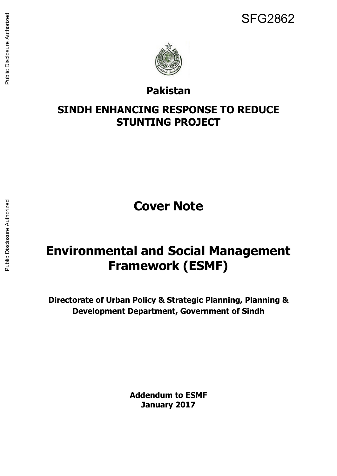

# **Pakistan**

# **SINDH ENHANCING RESPONSE TO REDUCE STUNTING PROJECT**

**Cover Note** 

# **Environmental and Social Management Framework (ESMF)**

**Directorate of Urban Policy & Strategic Planning, Planning & Development Department, Government of Sindh** 

> **Addendum to ESMF January 2017**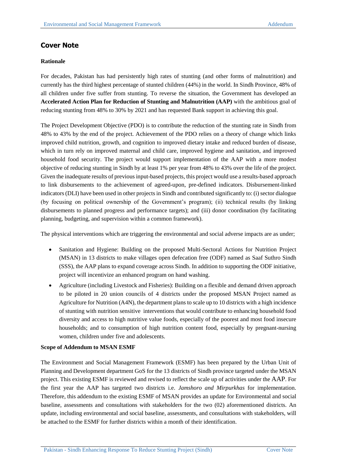## **Cover Note**

## **Rationale**

For decades, Pakistan has had persistently high rates of stunting (and other forms of malnutrition) and currently has the third highest percentage of stunted children (44%) in the world. In Sindh Province, 48% of all children under five suffer from stunting. To reverse the situation, the Government has developed an **Accelerated Action Plan for Reduction of Stunting and Malnutrition (AAP)** with the ambitious goal of reducing stunting from 48% to 30% by 2021 and has requested Bank support in achieving this goal.

The Project Development Objective (PDO) is to contribute the reduction of the stunting rate in Sindh from 48% to 43% by the end of the project. Achievement of the PDO relies on a theory of change which links improved child nutrition, growth, and cognition to improved dietary intake and reduced burden of disease, which in turn rely on improved maternal and child care, improved hygiene and sanitation, and improved household food security. The project would support implementation of the AAP with a more modest objective of reducing stunting in Sindh by at least 1% per year from 48% to 43% over the life of the project. Given the inadequate results of previous input-based projects, this project would use a results-based approach to link disbursements to the achievement of agreed-upon, pre-defined indicators. Disbursement-linked indicators (DLI) have been used in other projects in Sindh and contributed significantly to: (i) sector dialogue (by focusing on political ownership of the Government's program); (ii) technical results (by linking disbursements to planned progress and performance targets); and (iii) donor coordination (by facilitating planning, budgeting, and supervision within a common framework).

The physical interventions which are triggering the environmental and social adverse impacts are as under;

- Sanitation and Hygiene: Building on the proposed Multi-Sectoral Actions for Nutrition Project (MSAN) in 13 districts to make villages open defecation free (ODF) named as Saaf Suthro Sindh (SSS), the AAP plans to expand coverage across Sindh. In addition to supporting the ODF initiative, project will incentivize an enhanced program on hand washing.
- Agriculture (including Livestock and Fisheries): Building on a flexible and demand driven approach to be piloted in 20 union councils of 4 districts under the proposed MSAN Project named as Agriculture for Nutrition (A4N), the department plans to scale up to 10 districts with a high incidence of stunting with nutrition sensitive interventions that would contribute to enhancing household food diversity and access to high nutritive value foods, especially of the poorest and most food insecure households; and to consumption of high nutrition content food, especially by pregnant-nursing women, children under five and adolescents.

### **Scope of Addendum to MSAN ESMF**

The Environment and Social Management Framework (ESMF) has been prepared by the Urban Unit of Planning and Development department GoS for the 13 districts of Sindh province targeted under the MSAN project. This existing ESMF is reviewed and revised to reflect the scale up of activities under the AAP. For the first year the AAP has targeted two districts i.e. *Jamshoro and Mirpurkhas* for implementation. Therefore, this addendum to the existing ESMF of MSAN provides an update for Environmental and social baseline, assessments and consultations with stakeholders for the two (02) aforementioned districts. An update, including environmental and social baseline, assessments, and consultations with stakeholders, will be attached to the ESMF for further districts within a month of their identification.